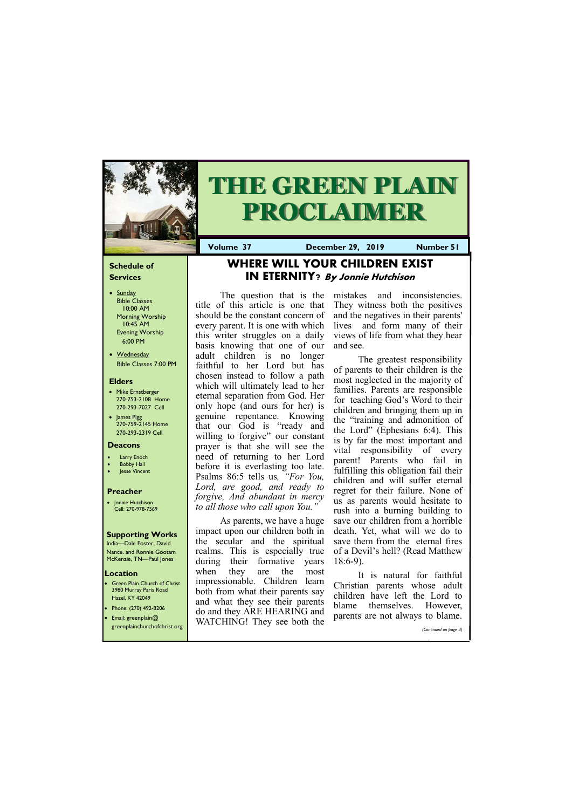## **Schedule of Services**

- Sunday Bible Classes 10:00 AM Morning Worship 10:45 AM Evening Worship 6:00 PM
- Wednesday Bible Classes 7:00 PM

## **Elders**

**Green Plain Church of Christ** 3980 Murray Paris Road Hazel, KY 42049 • Phone: (270) 492-8206

- Mike Ernstberger 270-753-2108 Home 270-293-7027 Cell
- James Pigg 270-759-2145 Home 270-293-2319 Cell

#### **Location**

India—Dale Foster, David Nance. and Ronnie Gootam McKenzie, TN—Paul Jones



# **THE GREEN PLAIN PROCLAIMER**

**Volume 37 December 29, 2019 Number 51**

#### **Deacons**

- **Larry Enoch**
- **Bobby Hall**
- **Jesse Vincent**

## **Preacher**

• Jonnie Hutchison Cell: 270-978-7569

## **Supporting Works**

# **WHERE WILL YOUR CHILDREN EXIST IN ETERNITY? By Jonnie Hutchison**

As parents, we have a huge impact upon our children both in the secular and the spiritual realms. This is especially true during their formative years when they are the most impressionable. Children learn both from what their parents say and what they see their parents  $d_{\alpha}$  and they ADE HEADI

The question that is the title of this article is one that should be the constant concern of every parent. It is one with which this writer struggles on a daily basis knowing that one of our adult children is no longer faithful to her Lord but has chosen instead to follow a path which will ultimately lead to her eternal separation from God. Her only hope (and ours for her) is genuine repentance. Knowing that our God is "ready and willing to forgive" our constant prayer is that she will see the need of returning to her Lord before it is everlasting too late. Psalms 86:5 tells us*, "For You, Lord, are good, and ready to forgive, And abundant in mercy to all those who call upon You."*

| $\bullet$ Email: greenplain $@$ | ao and they ARE HEARING and<br>WATCHING! They see both the | parents are not always to blame. |
|---------------------------------|------------------------------------------------------------|----------------------------------|
| greenplainchurchofchrist.org    |                                                            | (Continued on page 3)            |

mistakes and inconsistencies. They witness both the positives and the negatives in their parents' lives and form many of their views of life from what they hear and see.

The greatest responsibility of parents to their children is the most neglected in the majority of families. Parents are responsible for teaching God's Word to their children and bringing them up in the "training and admonition of the Lord" (Ephesians 6:4). This is by far the most important and vital responsibility of every parent! Parents who fail in fulfilling this obligation fail their children and will suffer eternal regret for their failure. None of us as parents would hesitate to rush into a burning building to save our children from a horrible death. Yet, what will we do to save them from the eternal fires of a Devil's hell? (Read Matthew 18:6-9).

It is natural for faithful Christian parents whose adult children have left the Lord to blame themselves. However,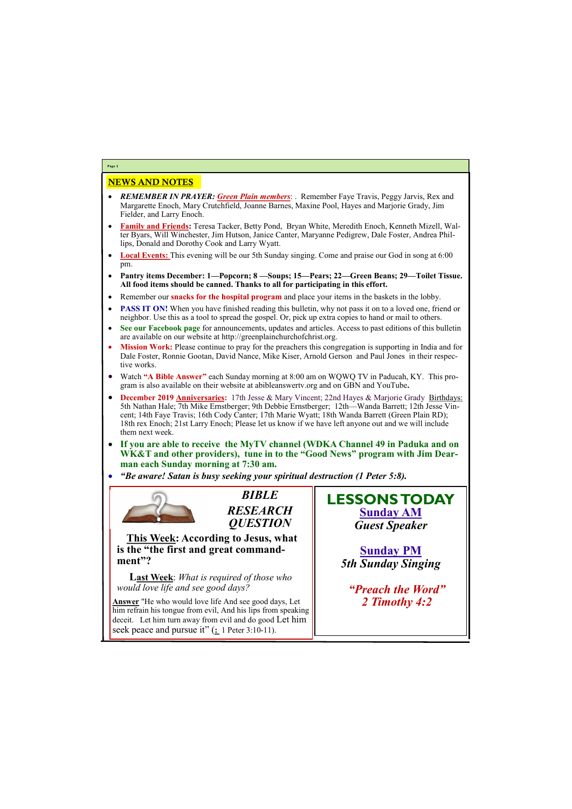# NEWS AND NOTES

- *REMEMBER IN PRAYER: Green Plain members*: . Remember Faye Travis, Peggy Jarvis, Rex and Margarette Enoch, Mary Crutchfield, Joanne Barnes, Maxine Pool, Hayes and Marjorie Grady, Jim Fielder, and Larry Enoch.
- **Family and Friends:** Teresa Tacker, Betty Pond, Bryan White, Meredith Enoch, Kenneth Mizell, Walter Byars, Will Winchester, Jim Hutson, Janice Canter, Maryanne Pedigrew, Dale Foster, Andrea Phillips, Donald and Dorothy Cook and Larry Wyatt.
- **Local Events:** This evening will be our 5th Sunday singing. Come and praise our God in song at 6:00 pm.
- **Pantry items December: 1—Popcorn; 8 —Soups; 15—Pears; 22—Green Beans; 29—Toilet Tissue. All food items should be canned. Thanks to all for participating in this effort.**
- Remember our **snacks for the hospital program** and place your items in the baskets in the lobby.
- **PASS IT ON!** When you have finished reading this bulletin, why not pass it on to a loved one, friend or neighbor. Use this as a tool to spread the gospel. Or, pick up extra copies to hand or mail to others.
- **See our Facebook page** for announcements, updates and articles. Access to past editions of this bulletin are available on our website at http://greenplainchurchofchrist.org.
- **Mission Work:** Please continue to pray for the preachers this congregation is supporting in India and for Dale Foster, Ronnie Gootan, David Nance, Mike Kiser, Arnold Gerson and Paul Jones in their respective works.
- Watch **"A Bible Answer"** each Sunday morning at 8:00 am on WQWQ TV in Paducah, KY. This program is also available on their website at abibleanswertv.org and on GBN and YouTube**.**
- **December 2019 Anniversaries:** 17th Jesse & Mary Vincent; 22nd Hayes & Marjorie Grady Birthdays: 5th Nathan Hale; 7th Mike Ernstberger; 9th Debbie Ernstberger; 12th—Wanda Barrett; 12th Jesse Vincent; 14th Faye Travis; 16th Cody Canter; 17th Marie Wyatt; 18th Wanda Barrett (Green Plain RD); 18th rex Enoch; 21st Larry Enoch; Please let us know if we have left anyone out and we will include them next week.
- **If you are able to receive the MyTV channel (WDKA Channel 49 in Paduka and on WK&T and other providers), tune in to the "Good News" program with Jim Dearman each Sunday morning at 7:30 am.**
- *"Be aware! Satan is busy seeking your spiritual destruction (1 Peter 5:8).*



**Answer** "He who would love life And see good days, Let him refrain his tongue from evil, And his lips from speaking deceit. Let him turn away from evil and do good Let him seek peace and pursue it" (: 1 Peter 3:10-11).

**Page 2**

*BIBLE RESEARCH QUESTION*

**This Week: According to Jesus, what is the "the first and great commandment"?**

**Last Week**: *What is required of those who would love life and see good days?*

**LESSONS TODAY Sunday AM** *Guest Speaker*

> **Sunday PM** *5th Sunday Singing*

*"Preach the Word" 2 Timothy 4:2*

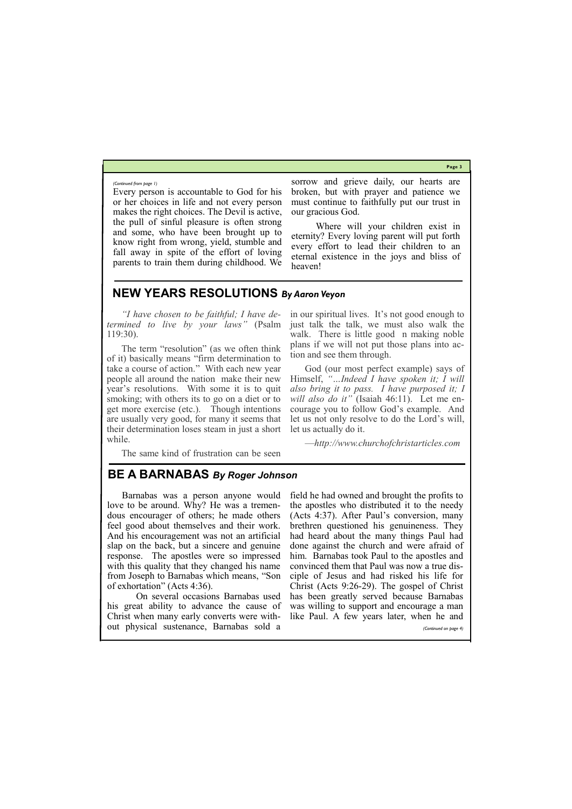**Page 3**

Every person is accountable to God for his or her choices in life and not every person makes the right choices. The Devil is active, the pull of sinful pleasure is often strong and some, who have been brought up to know right from wrong, yield, stumble and fall away in spite of the effort of loving parents to train them during childhood. We

sorrow and grieve daily, our hearts are broken, but with prayer and patience we must continue to faithfully put our trust in our gracious God.

Where will your children exist in eternity? Every loving parent will put forth every effort to lead their children to an eternal existence in the joys and bliss of heaven!

*(Continued from page 1)*

## **NEW YEARS RESOLUTIONS** *By Aaron Veyon*

*"I have chosen to be faithful; I have determined to live by your laws"* (Psalm 119:30).

The term "resolution" (as we often think of it) basically means "firm determination to take a course of action." With each new year people all around the nation make their new year's resolutions. With some it is to quit smoking; with others its to go on a diet or to get more exercise (etc.). Though intentions are usually very good, for many it seems that their determination loses steam in just a short while.

The same kind of frustration can be seen

in our spiritual lives. It's not good enough to just talk the talk, we must also walk the walk. There is little good n making noble plans if we will not put those plans into action and see them through.

God (our most perfect example) says of Himself, *"…Indeed I have spoken it; I will also bring it to pass. I have purposed it; I will also do it"* (Isaiah 46:11). Let me encourage you to follow God's example. And let us not only resolve to do the Lord's will, let us actually do it.

—*http://www.churchofchristarticles.com*

## **BE A BARNABAS** *By Roger Johnson*

Barnabas was a person anyone would love to be around. Why? He was a tremendous encourager of others; he made others feel good about themselves and their work. And his encouragement was not an artificial slap on the back, but a sincere and genuine response. The apostles were so impressed with this quality that they changed his name from Joseph to Barnabas which means, "Son of exhortation" (Acts 4:36).

 On several occasions Barnabas used his great ability to advance the cause of

Christ when many early converts were with-like Paul. A few years later, when he and out physical sustenance, Barnabas sold a *(Continued on page 4)*

field he had owned and brought the profits to the apostles who distributed it to the needy (Acts 4:37). After Paul's conversion, many brethren questioned his genuineness. They had heard about the many things Paul had done against the church and were afraid of him. Barnabas took Paul to the apostles and convinced them that Paul was now a true disciple of Jesus and had risked his life for Christ (Acts 9:26-29). The gospel of Christ has been greatly served because Barnabas was willing to support and encourage a man